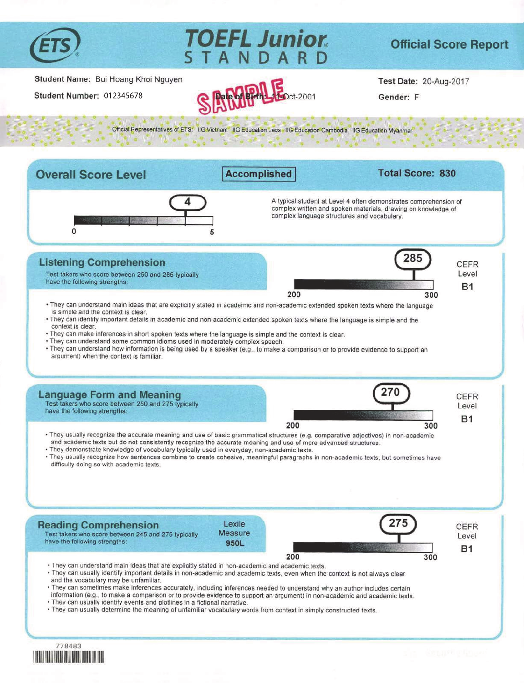